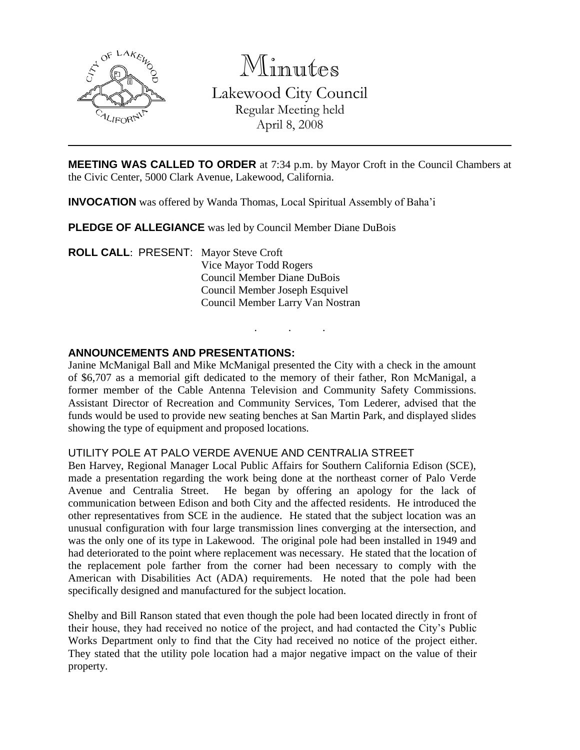

Minutes

Lakewood City Council Regular Meeting held

April 8, 2008

**MEETING WAS CALLED TO ORDER** at 7:34 p.m. by Mayor Croft in the Council Chambers at the Civic Center, 5000 Clark Avenue, Lakewood, California.

**INVOCATION** was offered by Wanda Thomas, Local Spiritual Assembly of Baha'i

**PLEDGE OF ALLEGIANCE** was led by Council Member Diane DuBois

**ROLL CALL**: PRESENT: Mayor Steve Croft Vice Mayor Todd Rogers Council Member Diane DuBois Council Member Joseph Esquivel Council Member Larry Van Nostran

## **ANNOUNCEMENTS AND PRESENTATIONS:**

Janine McManigal Ball and Mike McManigal presented the City with a check in the amount of \$6,707 as a memorial gift dedicated to the memory of their father, Ron McManigal, a former member of the Cable Antenna Television and Community Safety Commissions. Assistant Director of Recreation and Community Services, Tom Lederer, advised that the funds would be used to provide new seating benches at San Martin Park, and displayed slides showing the type of equipment and proposed locations.

. . .

### UTILITY POLE AT PALO VERDE AVENUE AND CENTRALIA STREET

Ben Harvey, Regional Manager Local Public Affairs for Southern California Edison (SCE), made a presentation regarding the work being done at the northeast corner of Palo Verde Avenue and Centralia Street. He began by offering an apology for the lack of communication between Edison and both City and the affected residents. He introduced the other representatives from SCE in the audience. He stated that the subject location was an unusual configuration with four large transmission lines converging at the intersection, and was the only one of its type in Lakewood. The original pole had been installed in 1949 and had deteriorated to the point where replacement was necessary. He stated that the location of the replacement pole farther from the corner had been necessary to comply with the American with Disabilities Act (ADA) requirements. He noted that the pole had been specifically designed and manufactured for the subject location.

Shelby and Bill Ranson stated that even though the pole had been located directly in front of their house, they had received no notice of the project, and had contacted the City's Public Works Department only to find that the City had received no notice of the project either. They stated that the utility pole location had a major negative impact on the value of their property.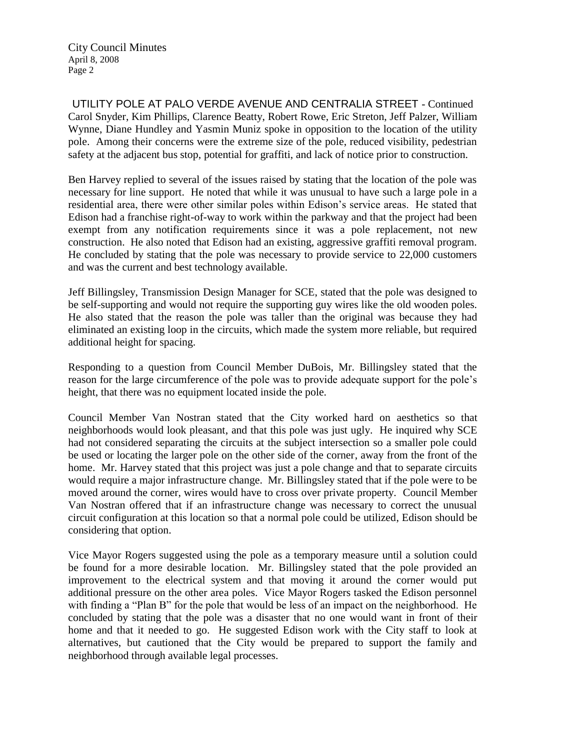UTILITY POLE AT PALO VERDE AVENUE AND CENTRALIA STREET - Continued Carol Snyder, Kim Phillips, Clarence Beatty, Robert Rowe, Eric Streton, Jeff Palzer, William Wynne, Diane Hundley and Yasmin Muniz spoke in opposition to the location of the utility pole. Among their concerns were the extreme size of the pole, reduced visibility, pedestrian safety at the adjacent bus stop, potential for graffiti, and lack of notice prior to construction.

Ben Harvey replied to several of the issues raised by stating that the location of the pole was necessary for line support. He noted that while it was unusual to have such a large pole in a residential area, there were other similar poles within Edison's service areas. He stated that Edison had a franchise right-of-way to work within the parkway and that the project had been exempt from any notification requirements since it was a pole replacement, not new construction. He also noted that Edison had an existing, aggressive graffiti removal program. He concluded by stating that the pole was necessary to provide service to 22,000 customers and was the current and best technology available.

Jeff Billingsley, Transmission Design Manager for SCE, stated that the pole was designed to be self-supporting and would not require the supporting guy wires like the old wooden poles. He also stated that the reason the pole was taller than the original was because they had eliminated an existing loop in the circuits, which made the system more reliable, but required additional height for spacing.

Responding to a question from Council Member DuBois, Mr. Billingsley stated that the reason for the large circumference of the pole was to provide adequate support for the pole's height, that there was no equipment located inside the pole.

Council Member Van Nostran stated that the City worked hard on aesthetics so that neighborhoods would look pleasant, and that this pole was just ugly. He inquired why SCE had not considered separating the circuits at the subject intersection so a smaller pole could be used or locating the larger pole on the other side of the corner, away from the front of the home. Mr. Harvey stated that this project was just a pole change and that to separate circuits would require a major infrastructure change. Mr. Billingsley stated that if the pole were to be moved around the corner, wires would have to cross over private property. Council Member Van Nostran offered that if an infrastructure change was necessary to correct the unusual circuit configuration at this location so that a normal pole could be utilized, Edison should be considering that option.

Vice Mayor Rogers suggested using the pole as a temporary measure until a solution could be found for a more desirable location. Mr. Billingsley stated that the pole provided an improvement to the electrical system and that moving it around the corner would put additional pressure on the other area poles. Vice Mayor Rogers tasked the Edison personnel with finding a "Plan B" for the pole that would be less of an impact on the neighborhood. He concluded by stating that the pole was a disaster that no one would want in front of their home and that it needed to go. He suggested Edison work with the City staff to look at alternatives, but cautioned that the City would be prepared to support the family and neighborhood through available legal processes.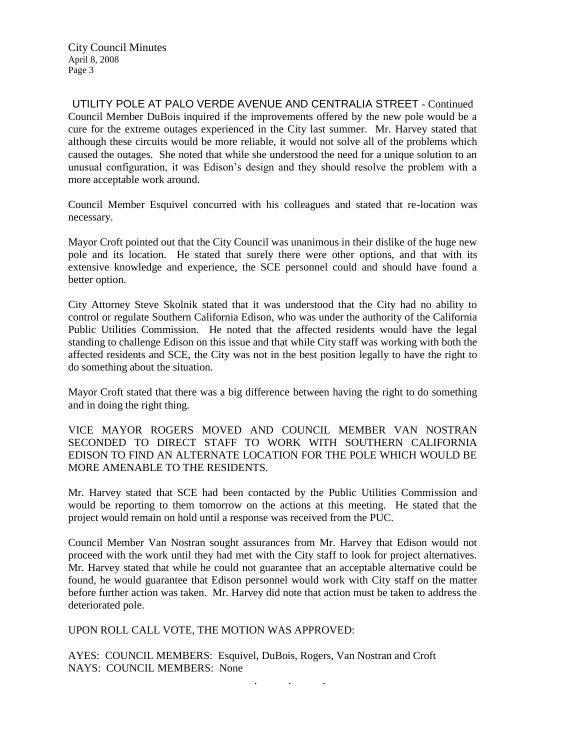UTILITY POLE AT PALO VERDE AVENUE AND CENTRALIA STREET - Continued Council Member DuBois inquired if the improvements offered by the new pole would be a cure for the extreme outages experienced in the City last summer. Mr. Harvey stated that although these circuits would be more reliable, it would not solve all of the problems which caused the outages. She noted that while she understood the need for a unique solution to an unusual configuration, it was Edison's design and they should resolve the problem with a more acceptable work around.

Council Member Esquivel concurred with his colleagues and stated that re-location was necessary.

Mayor Croft pointed out that the City Council was unanimous in their dislike of the huge new pole and its location. He stated that surely there were other options, and that with its extensive knowledge and experience, the SCE personnel could and should have found a better option.

City Attorney Steve Skolnik stated that it was understood that the City had no ability to control or regulate Southern California Edison, who was under the authority of the California Public Utilities Commission. He noted that the affected residents would have the legal standing to challenge Edison on this issue and that while City staff was working with both the affected residents and SCE, the City was not in the best position legally to have the right to do something about the situation.

Mayor Croft stated that there was a big difference between having the right to do something and in doing the right thing.

VICE MAYOR ROGERS MOVED AND COUNCIL MEMBER VAN NOSTRAN SECONDED TO DIRECT STAFF TO WORK WITH SOUTHERN CALIFORNIA EDISON TO FIND AN ALTERNATE LOCATION FOR THE POLE WHICH WOULD BE MORE AMENABLE TO THE RESIDENTS.

Mr. Harvey stated that SCE had been contacted by the Public Utilities Commission and would be reporting to them tomorrow on the actions at this meeting. He stated that the project would remain on hold until a response was received from the PUC.

Council Member Van Nostran sought assurances from Mr. Harvey that Edison would not proceed with the work until they had met with the City staff to look for project alternatives. Mr. Harvey stated that while he could not guarantee that an acceptable alternative could be found, he would guarantee that Edison personnel would work with City staff on the matter before further action was taken. Mr. Harvey did note that action must be taken to address the deteriorated pole.

UPON ROLL CALL VOTE, THE MOTION WAS APPROVED:

AYES: COUNCIL MEMBERS: Esquivel, DuBois, Rogers, Van Nostran and Croft NAYS: COUNCIL MEMBERS: None . . .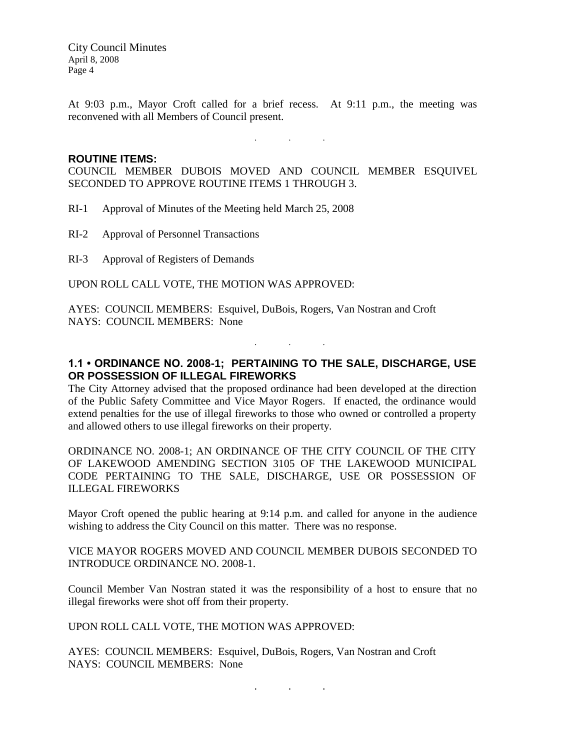At 9:03 p.m., Mayor Croft called for a brief recess. At 9:11 p.m., the meeting was reconvened with all Members of Council present.

. . .

### **ROUTINE ITEMS:**

COUNCIL MEMBER DUBOIS MOVED AND COUNCIL MEMBER ESQUIVEL SECONDED TO APPROVE ROUTINE ITEMS 1 THROUGH 3.

RI-1 Approval of Minutes of the Meeting held March 25, 2008

RI-2 Approval of Personnel Transactions

RI-3 Approval of Registers of Demands

UPON ROLL CALL VOTE, THE MOTION WAS APPROVED:

AYES: COUNCIL MEMBERS: Esquivel, DuBois, Rogers, Van Nostran and Croft NAYS: COUNCIL MEMBERS: None

## **1.1 • ORDINANCE NO. 2008-1; PERTAINING TO THE SALE, DISCHARGE, USE OR POSSESSION OF ILLEGAL FIREWORKS**

. . .

The City Attorney advised that the proposed ordinance had been developed at the direction of the Public Safety Committee and Vice Mayor Rogers. If enacted, the ordinance would extend penalties for the use of illegal fireworks to those who owned or controlled a property and allowed others to use illegal fireworks on their property.

ORDINANCE NO. 2008-1; AN ORDINANCE OF THE CITY COUNCIL OF THE CITY OF LAKEWOOD AMENDING SECTION 3105 OF THE LAKEWOOD MUNICIPAL CODE PERTAINING TO THE SALE, DISCHARGE, USE OR POSSESSION OF ILLEGAL FIREWORKS

Mayor Croft opened the public hearing at 9:14 p.m. and called for anyone in the audience wishing to address the City Council on this matter. There was no response.

### VICE MAYOR ROGERS MOVED AND COUNCIL MEMBER DUBOIS SECONDED TO INTRODUCE ORDINANCE NO. 2008-1.

Council Member Van Nostran stated it was the responsibility of a host to ensure that no illegal fireworks were shot off from their property.

#### UPON ROLL CALL VOTE, THE MOTION WAS APPROVED:

AYES: COUNCIL MEMBERS: Esquivel, DuBois, Rogers, Van Nostran and Croft NAYS: COUNCIL MEMBERS: None

. . .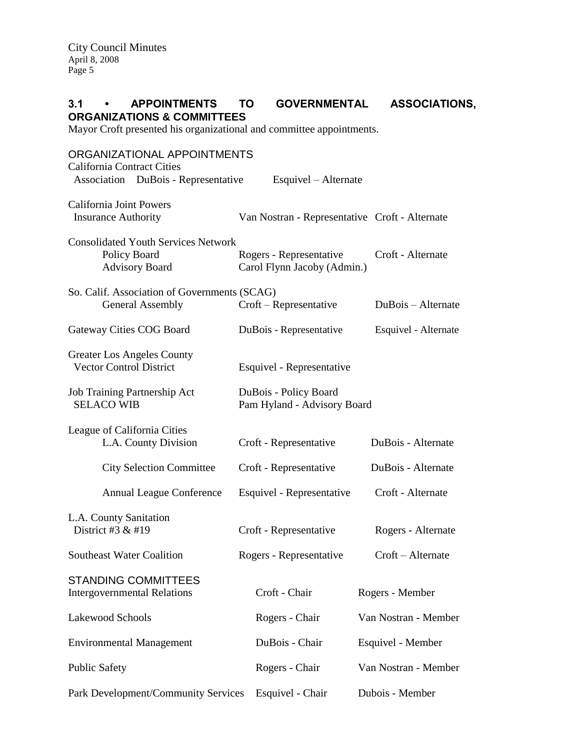# **3.1 • APPOINTMENTS TO GOVERNMENTAL ASSOCIATIONS, ORGANIZATIONS & COMMITTEES**

Mayor Croft presented his organizational and committee appointments.

| ORGANIZATIONAL APPOINTMENTS<br><b>California Contract Cities</b>                    |                                                      |                                                        |  |                      |
|-------------------------------------------------------------------------------------|------------------------------------------------------|--------------------------------------------------------|--|----------------------|
| Association DuBois - Representative                                                 |                                                      | Esquivel – Alternate                                   |  |                      |
| California Joint Powers<br><b>Insurance Authority</b>                               |                                                      | Van Nostran - Representative Croft - Alternate         |  |                      |
| <b>Consolidated Youth Services Network</b><br>Policy Board<br><b>Advisory Board</b> |                                                      | Rogers - Representative<br>Carol Flynn Jacoby (Admin.) |  | Croft - Alternate    |
| So. Calif. Association of Governments (SCAG)<br><b>General Assembly</b>             |                                                      | Croft - Representative                                 |  | DuBois – Alternate   |
| Gateway Cities COG Board                                                            |                                                      | DuBois - Representative                                |  | Esquivel - Alternate |
| Greater Los Angeles County<br><b>Vector Control District</b>                        |                                                      | Esquivel - Representative                              |  |                      |
| Job Training Partnership Act<br><b>SELACO WIB</b>                                   | DuBois - Policy Board<br>Pam Hyland - Advisory Board |                                                        |  |                      |
| League of California Cities<br>L.A. County Division                                 |                                                      | Croft - Representative                                 |  | DuBois - Alternate   |
| <b>City Selection Committee</b>                                                     |                                                      | Croft - Representative                                 |  | DuBois - Alternate   |
| <b>Annual League Conference</b>                                                     |                                                      | Esquivel - Representative                              |  | Croft - Alternate    |
| L.A. County Sanitation<br>District #3 $&$ #19                                       |                                                      | Croft - Representative                                 |  | Rogers - Alternate   |
| <b>Southeast Water Coalition</b>                                                    |                                                      | Rogers - Representative                                |  | Croft - Alternate    |
| <b>STANDING COMMITTEES</b><br><b>Intergovernmental Relations</b>                    |                                                      | Croft - Chair                                          |  | Rogers - Member      |
| Lakewood Schools                                                                    |                                                      | Rogers - Chair                                         |  | Van Nostran - Member |
| <b>Environmental Management</b>                                                     |                                                      | DuBois - Chair                                         |  | Esquivel - Member    |
| <b>Public Safety</b>                                                                |                                                      | Rogers - Chair                                         |  | Van Nostran - Member |
| Park Development/Community Services                                                 |                                                      | Esquivel - Chair                                       |  | Dubois - Member      |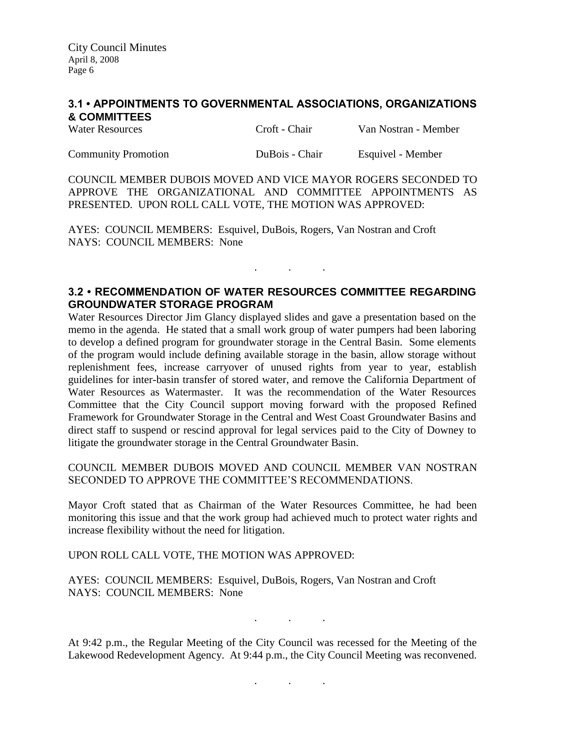## **3.1 • APPOINTMENTS TO GOVERNMENTAL ASSOCIATIONS, ORGANIZATIONS & COMMITTEES**

| <b>Water Resources</b> | Croft - Chair | Van Nostran - Member |
|------------------------|---------------|----------------------|
|                        |               |                      |

Community Promotion DuBois - Chair Esquivel - Member

COUNCIL MEMBER DUBOIS MOVED AND VICE MAYOR ROGERS SECONDED TO APPROVE THE ORGANIZATIONAL AND COMMITTEE APPOINTMENTS AS PRESENTED. UPON ROLL CALL VOTE, THE MOTION WAS APPROVED:

AYES: COUNCIL MEMBERS: Esquivel, DuBois, Rogers, Van Nostran and Croft NAYS: COUNCIL MEMBERS: None

### **3.2 • RECOMMENDATION OF WATER RESOURCES COMMITTEE REGARDING GROUNDWATER STORAGE PROGRAM**

. . .

Water Resources Director Jim Glancy displayed slides and gave a presentation based on the memo in the agenda. He stated that a small work group of water pumpers had been laboring to develop a defined program for groundwater storage in the Central Basin. Some elements of the program would include defining available storage in the basin, allow storage without replenishment fees, increase carryover of unused rights from year to year, establish guidelines for inter-basin transfer of stored water, and remove the California Department of Water Resources as Watermaster. It was the recommendation of the Water Resources Committee that the City Council support moving forward with the proposed Refined Framework for Groundwater Storage in the Central and West Coast Groundwater Basins and direct staff to suspend or rescind approval for legal services paid to the City of Downey to litigate the groundwater storage in the Central Groundwater Basin.

COUNCIL MEMBER DUBOIS MOVED AND COUNCIL MEMBER VAN NOSTRAN SECONDED TO APPROVE THE COMMITTEE'S RECOMMENDATIONS.

Mayor Croft stated that as Chairman of the Water Resources Committee, he had been monitoring this issue and that the work group had achieved much to protect water rights and increase flexibility without the need for litigation.

UPON ROLL CALL VOTE, THE MOTION WAS APPROVED:

AYES: COUNCIL MEMBERS: Esquivel, DuBois, Rogers, Van Nostran and Croft NAYS: COUNCIL MEMBERS: None

. . .

At 9:42 p.m., the Regular Meeting of the City Council was recessed for the Meeting of the Lakewood Redevelopment Agency. At 9:44 p.m., the City Council Meeting was reconvened.

. . .